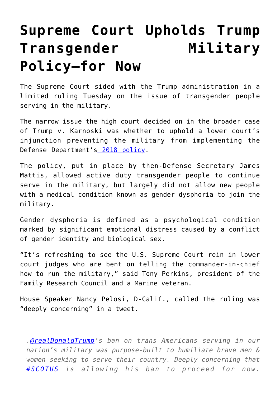## **[Supreme Court Upholds Trump](https://intellectualtakeout.org/2019/01/supreme-court-upholds-trump-transgender-military-policy-for-now/) [Transgender Military](https://intellectualtakeout.org/2019/01/supreme-court-upholds-trump-transgender-military-policy-for-now/) [Policy—for Now](https://intellectualtakeout.org/2019/01/supreme-court-upholds-trump-transgender-military-policy-for-now/)**

The Supreme Court sided with the Trump administration in a limited ruling Tuesday on the issue of transgender people serving in the military.

The narrow issue the high court decided on in the broader case of Trump v. Karnoski was whether to uphold a lower court's injunction preventing the military from implementing the Defense Department'[s 2018 policy.](https://www.scotusblog.com/case-files/cases/trump-v-karnoski/)

The policy, put in place by then-Defense Secretary James Mattis, allowed active duty transgender people to continue serve in the military, but largely did not allow new people with a medical condition known as gender dysphoria to join the military.

Gender dysphoria is defined as a psychological condition marked by significant emotional distress caused by a conflict of gender identity and biological sex.

"It's refreshing to see the U.S. Supreme Court rein in lower court judges who are bent on telling the commander-in-chief how to run the military," said Tony Perkins, president of the Family Research Council and a Marine veteran.

House Speaker Nancy Pelosi, D-Calif., called the ruling was "deeply concerning" in a tweet.

*.[@realDonaldTrump](https://twitter.com/realDonaldTrump?ref_src=twsrc%5Etfw)'s ban on trans Americans serving in our nation's military was purpose-built to humiliate brave men & women seeking to serve their country. Deeply concerning that [#SCOTUS](https://twitter.com/hashtag/SCOTUS?src=hash&ref_src=twsrc%5Etfw) is allowing his ban to proceed for now.*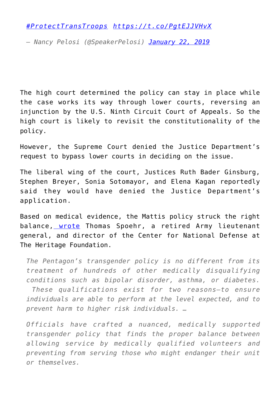*[#ProtectTransTroops](https://twitter.com/hashtag/ProtectTransTroops?src=hash&ref_src=twsrc%5Etfw) <https://t.co/PgtEJJVHvX>*

*— Nancy Pelosi (@SpeakerPelosi) [January 22, 2019](https://twitter.com/SpeakerPelosi/status/1087743517466787841?ref_src=twsrc%5Etfw)*

The high court determined the policy can stay in place while the case works its way through lower courts, reversing an injunction by the U.S. Ninth Circuit Court of Appeals. So the high court is likely to revisit the constitutionality of the policy.

However, the Supreme Court denied the Justice Department's request to bypass lower courts in deciding on the issue.

The liberal wing of the court, Justices Ruth Bader Ginsburg, Stephen Breyer, Sonia Sotomayor, and Elena Kagan reportedly said they would have denied the Justice Department's application.

Based on medical evidence, the Mattis policy struck the right balance, [wrote](https://www.dailysignal.com/2018/06/07/pentagons-new-transgender-policy-strikes-right-balance-for-military/) Thomas Spoehr, a retired Army lieutenant general, and director of the Center for National Defense at The Heritage Foundation.

*The Pentagon's transgender policy is no different from its treatment of hundreds of other medically disqualifying conditions such as bipolar disorder, asthma, or diabetes. These qualifications exist for two reasons—to ensure individuals are able to perform at the level expected, and to prevent harm to higher risk individuals. …*

*Officials have crafted a nuanced, medically supported transgender policy that finds the proper balance between allowing service by medically qualified volunteers and preventing from serving those who might endanger their unit or themselves.*